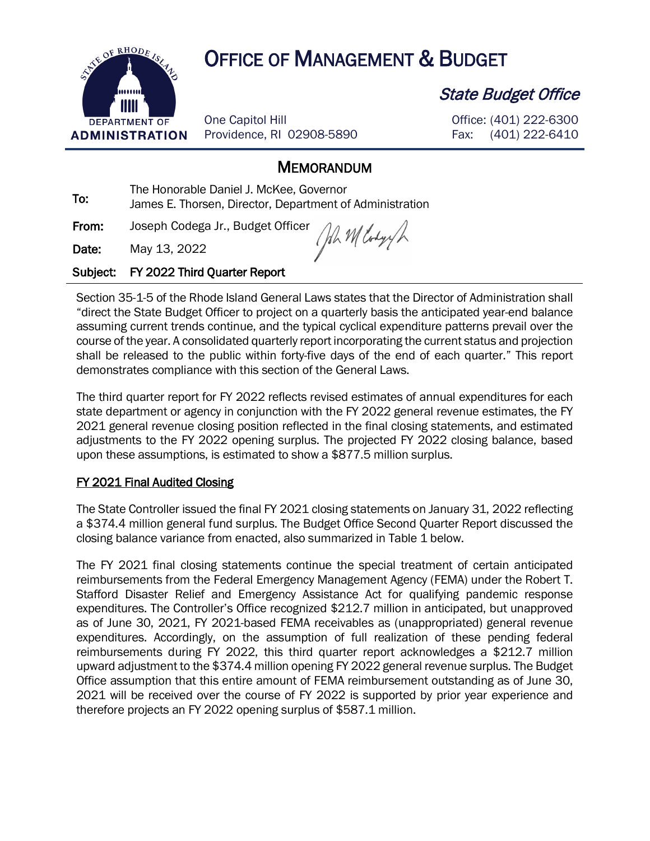

# OF RHODE USE OF MANAGEMENT & BUDGET

One Capitol Hill Providence, RI 02908-5890 State Budget Office

Office: (401) 222-6300 Fax: (401) 222-6410

## **MEMORANDUM**

To: The Honorable Daniel J. McKee, Governor<br>To: The The The Director, Department of James E. Thorsen, Director, Department of Administration

From: Joseph Codega Jr., Budget Officer

John Wlody

Date: May 13, 2022

#### Subject: FY 2022 Third Quarter Report

Section 35-1-5 of the Rhode Island General Laws states that the Director of Administration shall "direct the State Budget Officer to project on a quarterly basis the anticipated year-end balance assuming current trends continue, and the typical cyclical expenditure patterns prevail over the course of the year. A consolidated quarterly report incorporating the current status and projection shall be released to the public within forty-five days of the end of each quarter." This report demonstrates compliance with this section of the General Laws.

The third quarter report for FY 2022 reflects revised estimates of annual expenditures for each state department or agency in conjunction with the FY 2022 general revenue estimates, the FY 2021 general revenue closing position reflected in the final closing statements, and estimated adjustments to the FY 2022 opening surplus. The projected FY 2022 closing balance, based upon these assumptions, is estimated to show a \$877.5 million surplus.

#### FY 2021 Final Audited Closing

The State Controller issued the final FY 2021 closing statements on January 31, 2022 reflecting a \$374.4 million general fund surplus. The Budget Office Second Quarter Report discussed the closing balance variance from enacted, also summarized in Table 1 below.

The FY 2021 final closing statements continue the special treatment of certain anticipated reimbursements from the Federal Emergency Management Agency (FEMA) under the Robert T. Stafford Disaster Relief and Emergency Assistance Act for qualifying pandemic response expenditures. The Controller's Office recognized \$212.7 million in anticipated, but unapproved as of June 30, 2021, FY 2021-based FEMA receivables as (unappropriated) general revenue expenditures. Accordingly, on the assumption of full realization of these pending federal reimbursements during FY 2022, this third quarter report acknowledges a \$212.7 million upward adjustment to the \$374.4 million opening FY 2022 general revenue surplus. The Budget Office assumption that this entire amount of FEMA reimbursement outstanding as of June 30, 2021 will be received over the course of FY 2022 is supported by prior year experience and therefore projects an FY 2022 opening surplus of \$587.1 million.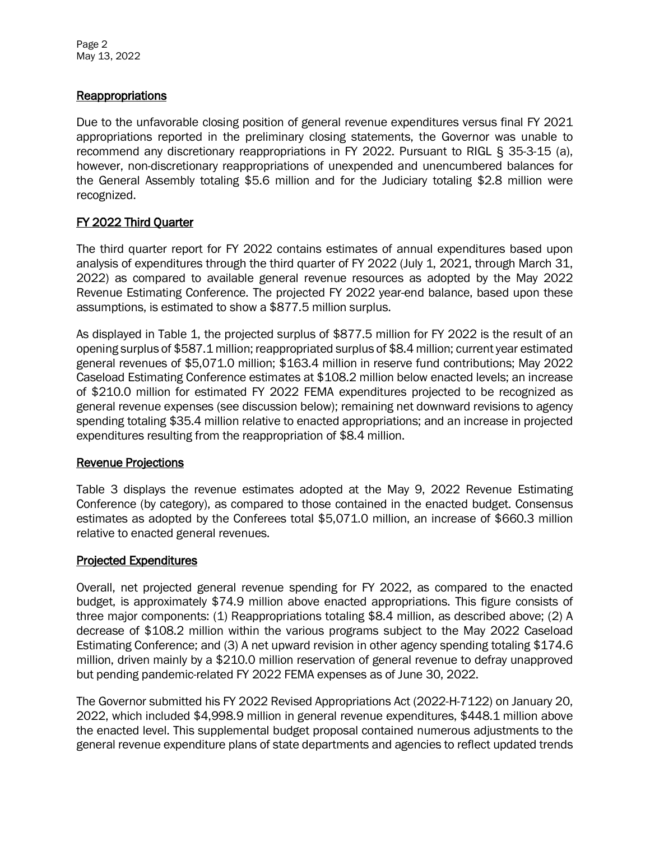Page 2 May 13, 2022

#### **Reappropriations**

Due to the unfavorable closing position of general revenue expenditures versus final FY 2021 appropriations reported in the preliminary closing statements, the Governor was unable to recommend any discretionary reappropriations in FY 2022. Pursuant to RIGL § 35-3-15 (a), however, non-discretionary reappropriations of unexpended and unencumbered balances for the General Assembly totaling \$5.6 million and for the Judiciary totaling \$2.8 million were recognized.

#### FY 2022 Third Quarter

The third quarter report for FY 2022 contains estimates of annual expenditures based upon analysis of expenditures through the third quarter of FY 2022 (July 1, 2021, through March 31, 2022) as compared to available general revenue resources as adopted by the May 2022 Revenue Estimating Conference. The projected FY 2022 year-end balance, based upon these assumptions, is estimated to show a \$877.5 million surplus.

As displayed in Table 1, the projected surplus of \$877.5 million for FY 2022 is the result of an opening surplus of \$587.1 million; reappropriated surplus of \$8.4 million; current year estimated general revenues of \$5,071.0 million; \$163.4 million in reserve fund contributions; May 2022 Caseload Estimating Conference estimates at \$108.2 million below enacted levels; an increase of \$210.0 million for estimated FY 2022 FEMA expenditures projected to be recognized as general revenue expenses (see discussion below); remaining net downward revisions to agency spending totaling \$35.4 million relative to enacted appropriations; and an increase in projected expenditures resulting from the reappropriation of \$8.4 million.

#### Revenue Projections

Table 3 displays the revenue estimates adopted at the May 9, 2022 Revenue Estimating Conference (by category), as compared to those contained in the enacted budget. Consensus estimates as adopted by the Conferees total \$5,071.0 million, an increase of \$660.3 million relative to enacted general revenues.

#### Projected Expenditures

Overall, net projected general revenue spending for FY 2022, as compared to the enacted budget, is approximately \$74.9 million above enacted appropriations. This figure consists of three major components: (1) Reappropriations totaling \$8.4 million, as described above; (2) A decrease of \$108.2 million within the various programs subject to the May 2022 Caseload Estimating Conference; and (3) A net upward revision in other agency spending totaling \$174.6 million, driven mainly by a \$210.0 million reservation of general revenue to defray unapproved but pending pandemic-related FY 2022 FEMA expenses as of June 30, 2022.

The Governor submitted his FY 2022 Revised Appropriations Act (2022-H-7122) on January 20, 2022, which included \$4,998.9 million in general revenue expenditures, \$448.1 million above the enacted level. This supplemental budget proposal contained numerous adjustments to the general revenue expenditure plans of state departments and agencies to reflect updated trends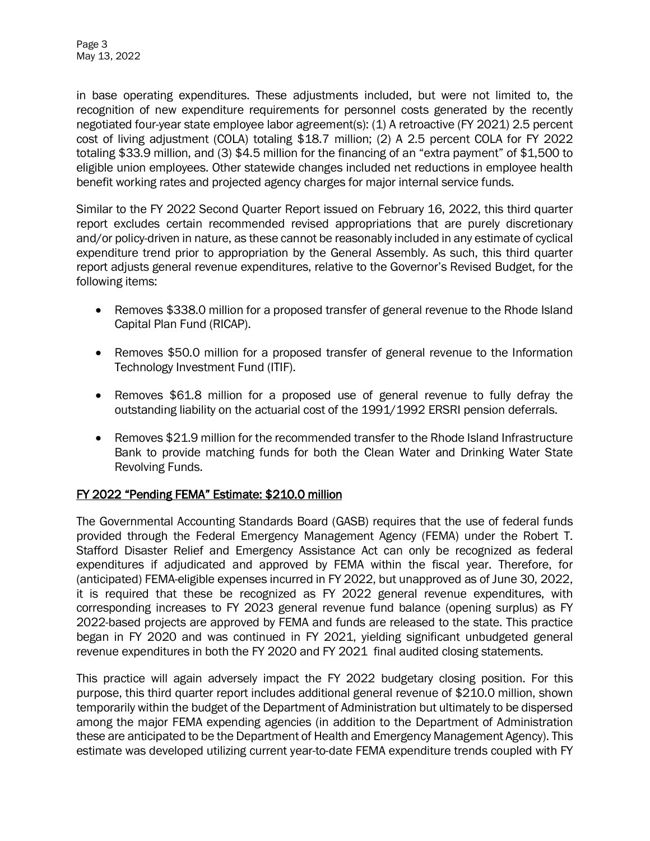Page 3 May 13, 2022

in base operating expenditures. These adjustments included, but were not limited to, the recognition of new expenditure requirements for personnel costs generated by the recently negotiated four-year state employee labor agreement(s): (1) A retroactive (FY 2021) 2.5 percent cost of living adjustment (COLA) totaling \$18.7 million; (2) A 2.5 percent COLA for FY 2022 totaling \$33.9 million, and (3) \$4.5 million for the financing of an "extra payment" of \$1,500 to eligible union employees. Other statewide changes included net reductions in employee health benefit working rates and projected agency charges for major internal service funds.

Similar to the FY 2022 Second Quarter Report issued on February 16, 2022, this third quarter report excludes certain recommended revised appropriations that are purely discretionary and/or policy-driven in nature, as these cannot be reasonably included in any estimate of cyclical expenditure trend prior to appropriation by the General Assembly. As such, this third quarter report adjusts general revenue expenditures, relative to the Governor's Revised Budget, for the following items:

- Removes \$338.0 million for a proposed transfer of general revenue to the Rhode Island Capital Plan Fund (RICAP).
- Removes \$50.0 million for a proposed transfer of general revenue to the Information Technology Investment Fund (ITIF).
- Removes \$61.8 million for a proposed use of general revenue to fully defray the outstanding liability on the actuarial cost of the 1991/1992 ERSRI pension deferrals.
- Removes \$21.9 million for the recommended transfer to the Rhode Island Infrastructure Bank to provide matching funds for both the Clean Water and Drinking Water State Revolving Funds.

#### FY 2022 "Pending FEMA" Estimate: \$210.0 million

The Governmental Accounting Standards Board (GASB) requires that the use of federal funds provided through the Federal Emergency Management Agency (FEMA) under the Robert T. Stafford Disaster Relief and Emergency Assistance Act can only be recognized as federal expenditures if adjudicated and approved by FEMA within the fiscal year. Therefore, for (anticipated) FEMA-eligible expenses incurred in FY 2022, but unapproved as of June 30, 2022, it is required that these be recognized as FY 2022 general revenue expenditures, with corresponding increases to FY 2023 general revenue fund balance (opening surplus) as FY 2022-based projects are approved by FEMA and funds are released to the state. This practice began in FY 2020 and was continued in FY 2021, yielding significant unbudgeted general revenue expenditures in both the FY 2020 and FY 2021 final audited closing statements.

This practice will again adversely impact the FY 2022 budgetary closing position. For this purpose, this third quarter report includes additional general revenue of \$210.0 million, shown temporarily within the budget of the Department of Administration but ultimately to be dispersed among the major FEMA expending agencies (in addition to the Department of Administration these are anticipated to be the Department of Health and Emergency Management Agency). This estimate was developed utilizing current year-to-date FEMA expenditure trends coupled with FY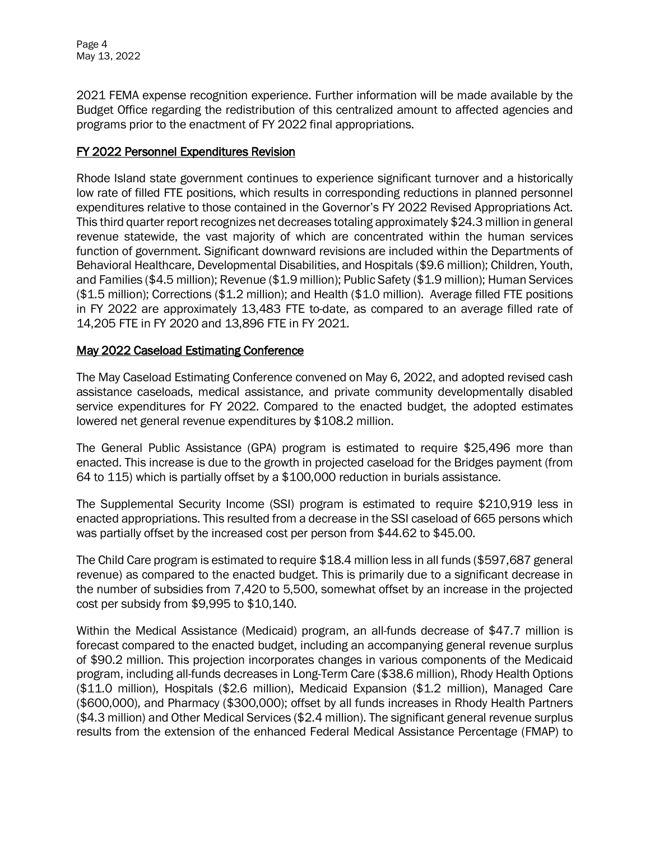Page 4 May 13, 2022

2021 FEMA expense recognition experience. Further information will be made available by the Budget Office regarding the redistribution of this centralized amount to affected agencies and programs prior to the enactment of FY 2022 final appropriations.

#### FY 2022 Personnel Expenditures Revision

Rhode Island state government continues to experience significant turnover and a historically low rate of filled FTE positions, which results in corresponding reductions in planned personnel expenditures relative to those contained in the Governor's FY 2022 Revised Appropriations Act. This third quarter report recognizes net decreases totaling approximately \$24.3 million in general revenue statewide, the vast majority of which are concentrated within the human services function of government. Significant downward revisions are included within the Departments of Behavioral Healthcare, Developmental Disabilities, and Hospitals (\$9.6 million); Children, Youth, and Families (\$4.5 million); Revenue (\$1.9 million); Public Safety (\$1.9 million); Human Services (\$1.5 million); Corrections (\$1.2 million); and Health (\$1.0 million). Average filled FTE positions in FY 2022 are approximately 13,483 FTE to-date, as compared to an average filled rate of 14,205 FTE in FY 2020 and 13,896 FTE in FY 2021.

#### May 2022 Caseload Estimating Conference

The May Caseload Estimating Conference convened on May 6, 2022, and adopted revised cash assistance caseloads, medical assistance, and private community developmentally disabled service expenditures for FY 2022. Compared to the enacted budget, the adopted estimates lowered net general revenue expenditures by \$108.2 million.

The General Public Assistance (GPA) program is estimated to require \$25,496 more than enacted. This increase is due to the growth in projected caseload for the Bridges payment (from 64 to 115) which is partially offset by a \$100,000 reduction in burials assistance.

The Supplemental Security Income (SSI) program is estimated to require \$210,919 less in enacted appropriations. This resulted from a decrease in the SSI caseload of 665 persons which was partially offset by the increased cost per person from \$44.62 to \$45.00.

The Child Care program is estimated to require \$18.4 million less in all funds (\$597,687 general revenue) as compared to the enacted budget. This is primarily due to a significant decrease in the number of subsidies from 7,420 to 5,500, somewhat offset by an increase in the projected cost per subsidy from \$9,995 to \$10,140.

Within the Medical Assistance (Medicaid) program, an all-funds decrease of \$47.7 million is forecast compared to the enacted budget, including an accompanying general revenue surplus of \$90.2 million. This projection incorporates changes in various components of the Medicaid program, including all-funds decreases in Long-Term Care (\$38.6 million), Rhody Health Options (\$11.0 million), Hospitals (\$2.6 million), Medicaid Expansion (\$1.2 million), Managed Care (\$600,000), and Pharmacy (\$300,000); offset by all funds increases in Rhody Health Partners (\$4.3 million) and Other Medical Services (\$2.4 million). The significant general revenue surplus results from the extension of the enhanced Federal Medical Assistance Percentage (FMAP) to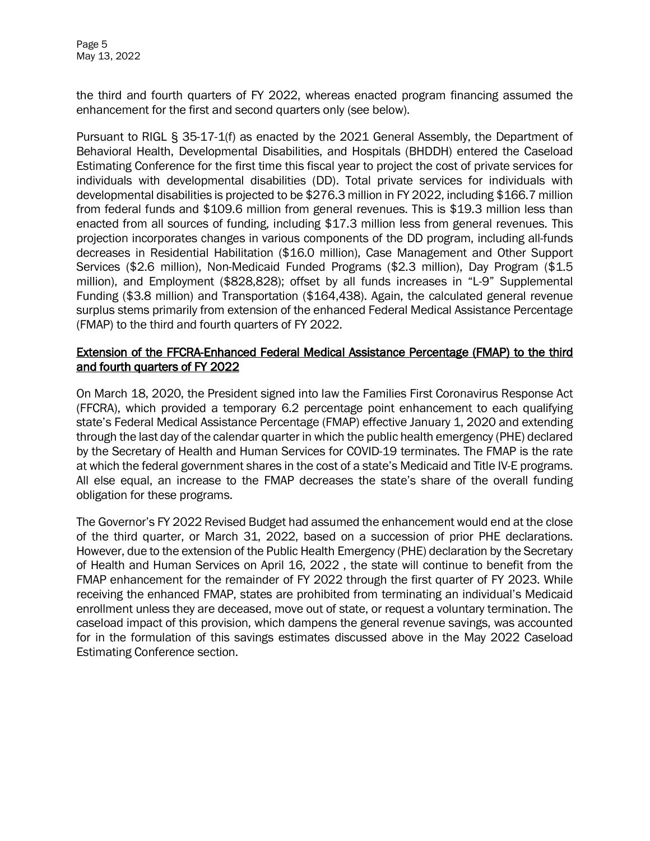Page 5 May 13, 2022

the third and fourth quarters of FY 2022, whereas enacted program financing assumed the enhancement for the first and second quarters only (see below).

Pursuant to RIGL § 35-17-1(f) as enacted by the 2021 General Assembly, the Department of Behavioral Health, Developmental Disabilities, and Hospitals (BHDDH) entered the Caseload Estimating Conference for the first time this fiscal year to project the cost of private services for individuals with developmental disabilities (DD). Total private services for individuals with developmental disabilities is projected to be \$276.3 million in FY 2022, including \$166.7 million from federal funds and \$109.6 million from general revenues. This is \$19.3 million less than enacted from all sources of funding, including \$17.3 million less from general revenues. This projection incorporates changes in various components of the DD program, including all-funds decreases in Residential Habilitation (\$16.0 million), Case Management and Other Support Services (\$2.6 million), Non-Medicaid Funded Programs (\$2.3 million), Day Program (\$1.5 million), and Employment (\$828,828); offset by all funds increases in "L-9" Supplemental Funding (\$3.8 million) and Transportation (\$164,438). Again, the calculated general revenue surplus stems primarily from extension of the enhanced Federal Medical Assistance Percentage (FMAP) to the third and fourth quarters of FY 2022.

#### Extension of the FFCRA-Enhanced Federal Medical Assistance Percentage (FMAP) to the third and fourth quarters of FY 2022

On March 18, 2020, the President signed into law the Families First Coronavirus Response Act (FFCRA), which provided a temporary 6.2 percentage point enhancement to each qualifying state's Federal Medical Assistance Percentage (FMAP) effective January 1, 2020 and extending through the last day of the calendar quarter in which the public health emergency (PHE) declared by the Secretary of Health and Human Services for COVID-19 terminates. The FMAP is the rate at which the federal government shares in the cost of a state's Medicaid and Title IV-E programs. All else equal, an increase to the FMAP decreases the state's share of the overall funding obligation for these programs.

The Governor's FY 2022 Revised Budget had assumed the enhancement would end at the close of the third quarter, or March 31, 2022, based on a succession of prior PHE declarations. However, due to the extension of the Public Health Emergency (PHE) declaration by the Secretary of Health and Human Services on April 16, 2022 , the state will continue to benefit from the FMAP enhancement for the remainder of FY 2022 through the first quarter of FY 2023. While receiving the enhanced FMAP, states are prohibited from terminating an individual's Medicaid enrollment unless they are deceased, move out of state, or request a voluntary termination. The caseload impact of this provision, which dampens the general revenue savings, was accounted for in the formulation of this savings estimates discussed above in the May 2022 Caseload Estimating Conference section.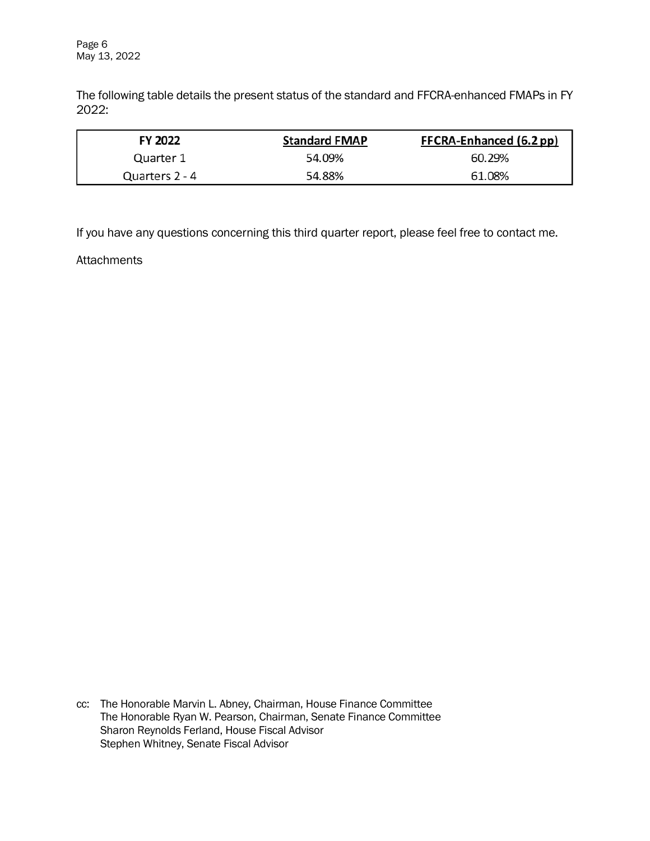Page 6 May 13, 2022

The following table details the present status of the standard and FFCRA-enhanced FMAPs in FY 2022:

| FY 2022        | <b>Standard FMAP</b> | FFCRA-Enhanced (6.2 pp) |
|----------------|----------------------|-------------------------|
| Quarter 1      | 54.09%               | 60.29%                  |
| Quarters 2 - 4 | 54.88%               | 61.08%                  |

If you have any questions concerning this third quarter report, please feel free to contact me.

**Attachments** 

cc: The Honorable Marvin L. Abney, Chairman, House Finance Committee The Honorable Ryan W. Pearson, Chairman, Senate Finance Committee Sharon Reynolds Ferland, House Fiscal Advisor Stephen Whitney, Senate Fiscal Advisor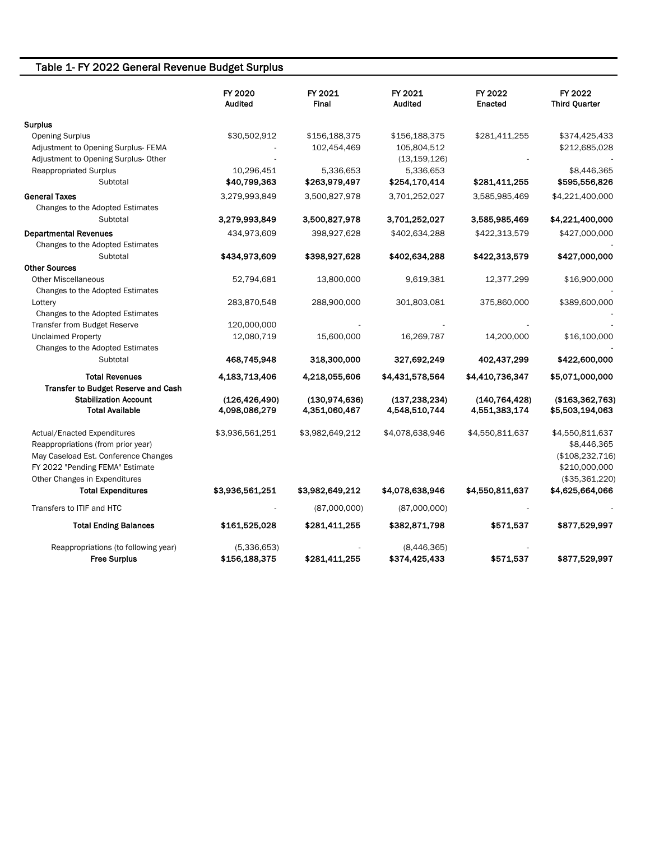### Table 1- FY 2022 General Revenue Budget Surplus

|                                      | FY 2020<br><b>Audited</b> | FY 2021<br>Final | FY 2021<br><b>Audited</b> | FY 2022<br><b>Enacted</b> | FY 2022<br><b>Third Quarter</b> |  |
|--------------------------------------|---------------------------|------------------|---------------------------|---------------------------|---------------------------------|--|
| <b>Surplus</b>                       |                           |                  |                           |                           |                                 |  |
| <b>Opening Surplus</b>               | \$30,502,912              | \$156,188,375    | \$156,188,375             | \$281,411,255             | \$374,425,433                   |  |
| Adjustment to Opening Surplus-FEMA   |                           | 102,454,469      | 105,804,512               |                           | \$212,685,028                   |  |
| Adjustment to Opening Surplus- Other |                           |                  | (13, 159, 126)            |                           |                                 |  |
| <b>Reappropriated Surplus</b>        | 10,296,451                | 5,336,653        | 5,336,653                 |                           | \$8,446,365                     |  |
| Subtotal                             | \$40,799,363              | \$263,979,497    | \$254,170,414             | \$281,411,255             | \$595,556,826                   |  |
| <b>General Taxes</b>                 | 3,279,993,849             | 3,500,827,978    | 3,701,252,027             | 3,585,985,469             | \$4,221,400,000                 |  |
| Changes to the Adopted Estimates     |                           |                  |                           |                           |                                 |  |
| Subtotal                             | 3,279,993,849             | 3,500,827,978    | 3,701,252,027             | 3,585,985,469             | \$4,221,400,000                 |  |
| <b>Departmental Revenues</b>         | 434,973,609               | 398,927,628      | \$402,634,288             | \$422,313,579             | \$427,000,000                   |  |
| Changes to the Adopted Estimates     |                           |                  |                           |                           |                                 |  |
| Subtotal                             | \$434,973,609             | \$398,927,628    | \$402,634,288             | \$422,313,579             | \$427,000,000                   |  |
| <b>Other Sources</b>                 |                           |                  |                           |                           |                                 |  |
| <b>Other Miscellaneous</b>           | 52,794,681                | 13,800,000       | 9,619,381                 | 12,377,299                | \$16,900,000                    |  |
| Changes to the Adopted Estimates     |                           |                  |                           |                           |                                 |  |
| Lottery                              | 283,870,548               | 288,900,000      | 301,803,081               | 375,860,000               | \$389,600,000                   |  |
| Changes to the Adopted Estimates     |                           |                  |                           |                           |                                 |  |
| <b>Transfer from Budget Reserve</b>  | 120,000,000               |                  |                           |                           |                                 |  |
| <b>Unclaimed Property</b>            | 12,080,719                | 15,600,000       | 16,269,787                | 14,200,000                | \$16,100,000                    |  |
| Changes to the Adopted Estimates     |                           |                  |                           |                           |                                 |  |
| Subtotal                             | 468,745,948               | 318,300,000      | 327,692,249               | 402,437,299               | \$422,600,000                   |  |
| <b>Total Revenues</b>                | 4,183,713,406             | 4,218,055,606    | \$4,431,578,564           | \$4,410,736,347           | \$5,071,000,000                 |  |
| Transfer to Budget Reserve and Cash  |                           |                  |                           |                           |                                 |  |
| <b>Stabilization Account</b>         | (126, 426, 490)           | (130, 974, 636)  | (137, 238, 234)           | (140, 764, 428)           | (\$163,362,763)                 |  |
| <b>Total Available</b>               | 4,098,086,279             | 4,351,060,467    | 4,548,510,744             | 4,551,383,174             | \$5,503,194,063                 |  |
| <b>Actual/Enacted Expenditures</b>   | \$3,936,561,251           | \$3,982,649,212  | \$4,078,638,946           | \$4,550,811,637           | \$4,550,811,637                 |  |
| Reappropriations (from prior year)   |                           |                  |                           |                           | \$8,446,365                     |  |
| May Caseload Est. Conference Changes |                           |                  |                           |                           | (\$108,232,716)                 |  |
| FY 2022 "Pending FEMA" Estimate      |                           |                  |                           |                           | \$210,000,000                   |  |
| Other Changes in Expenditures        |                           |                  |                           |                           | (\$35,361,220)                  |  |
| <b>Total Expenditures</b>            | \$3,936,561,251           | \$3,982,649,212  | \$4,078,638,946           | \$4,550,811,637           | \$4,625,664,066                 |  |
| Transfers to ITIF and HTC            |                           | (87,000,000)     | (87,000,000)              |                           |                                 |  |
| <b>Total Ending Balances</b>         | \$161,525,028             | \$281,411,255    | \$382,871,798             | \$571,537                 | \$877,529,997                   |  |
| Reappropriations (to following year) | (5,336,653)               |                  | (8,446,365)               |                           |                                 |  |
| <b>Free Surplus</b>                  | \$156,188,375             | \$281,411,255    | \$374,425,433             | \$571,537                 | \$877,529,997                   |  |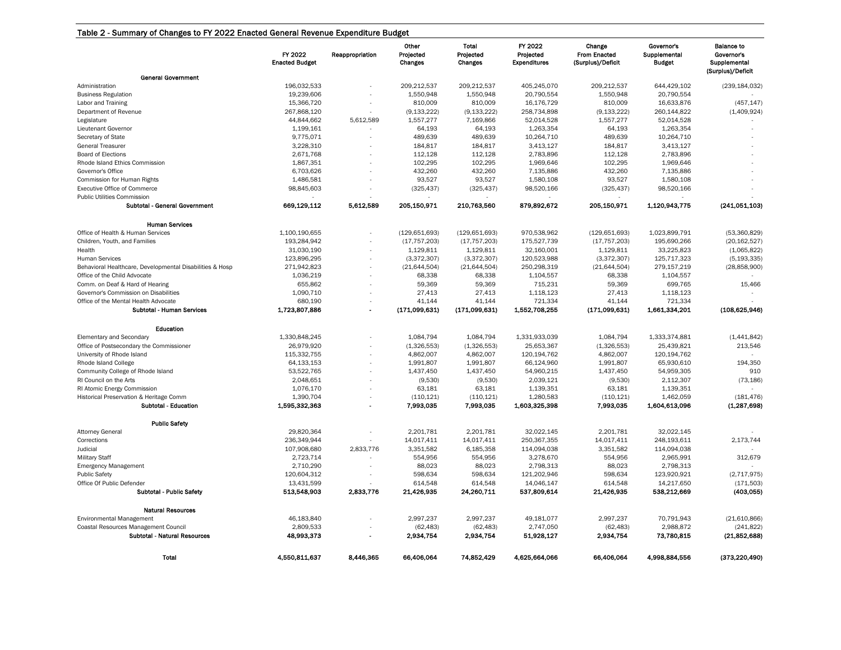|                                                                                   | FY 2022<br><b>Enacted Budget</b> | Reappropriation | Other<br>Projected<br>Changes | Total<br>Projected<br>Changes | FY 2022<br>Projected<br><b>Expenditures</b> | Change<br><b>From Enacted</b><br>(Surplus)/Deficit | Governor's<br>Supplemental<br><b>Budget</b> | <b>Balance to</b><br>Governor's<br>Supplemental |
|-----------------------------------------------------------------------------------|----------------------------------|-----------------|-------------------------------|-------------------------------|---------------------------------------------|----------------------------------------------------|---------------------------------------------|-------------------------------------------------|
| <b>General Government</b>                                                         |                                  |                 |                               |                               |                                             |                                                    |                                             | (Surplus)/Deficit                               |
| Administration<br><b>Business Regulation</b>                                      | 196,032,533<br>19,239,606        |                 | 209,212,537<br>1,550,948      | 209,212,537<br>1,550,948      | 405,245,070<br>20,790,554                   | 209,212,537<br>1,550,948                           | 644,429,102<br>20,790,554                   | (239, 184, 032)                                 |
| Labor and Training                                                                | 15,366,720                       |                 | 810,009                       | 810,009                       | 16,176,729                                  | 810,009                                            | 16,633,876                                  | (457, 147)                                      |
| Department of Revenue                                                             | 267,868,120                      |                 | (9, 133, 222)                 | (9, 133, 222)                 | 258,734,898                                 | (9, 133, 222)                                      | 260,144,822                                 | (1,409,924)                                     |
| Legislature                                                                       | 44,844,662                       | 5,612,589       | 1,557,277                     | 7,169,866                     | 52,014,528                                  | 1,557,277                                          | 52,014,528                                  |                                                 |
| Lieutenant Governor                                                               | 1,199,161                        |                 | 64,193                        | 64,193                        | 1,263,354                                   | 64,193                                             | 1,263,354                                   |                                                 |
| Secretary of State                                                                | 9,775,071                        |                 | 489,639                       | 489,639                       | 10,264,710                                  | 489,639                                            | 10,264,710                                  |                                                 |
| <b>General Treasurer</b>                                                          | 3,228,310                        |                 | 184,817                       | 184,817                       | 3,413,127                                   | 184,817                                            | 3,413,127                                   |                                                 |
| <b>Board of Elections</b>                                                         | 2,671,768                        |                 | 112,128                       | 112,128                       | 2,783,896                                   | 112,128                                            | 2,783,896                                   |                                                 |
| Rhode Island Ethics Commission<br>Governor's Office                               | 1,867,351                        |                 | 102,295<br>432,260            | 102,295                       | 1,969,646                                   | 102,295<br>432,260                                 | 1,969,646                                   |                                                 |
|                                                                                   | 6,703,626                        |                 | 93,527                        | 432,260<br>93,527             | 7,135,886                                   | 93,527                                             | 7,135,886                                   |                                                 |
| Commission for Human Rights<br><b>Executive Office of Commerce</b>                | 1,486,581<br>98,845,603          |                 | (325, 437)                    | (325, 437)                    | 1,580,108<br>98,520,166                     | (325, 437)                                         | 1,580,108<br>98,520,166                     |                                                 |
| Public Utilities Commission                                                       |                                  |                 |                               |                               |                                             |                                                    |                                             |                                                 |
| Subtotal - General Government                                                     | 669,129,112                      | 5,612,589       | 205,150,971                   | 210,763,560                   | 879,892,672                                 | 205,150,971                                        | 1,120,943,775                               | (241,051,103)                                   |
|                                                                                   |                                  |                 |                               |                               |                                             |                                                    |                                             |                                                 |
| <b>Human Services</b>                                                             |                                  |                 |                               |                               |                                             |                                                    |                                             |                                                 |
| Office of Health & Human Services                                                 | 1,100,190,655                    |                 | (129, 651, 693)               | (129, 651, 693)               | 970,538,962                                 | (129, 651, 693)                                    | 1,023,899,791                               | (53,360,829)                                    |
| Children, Youth, and Families                                                     | 193,284,942                      |                 | (17, 757, 203)                | (17, 757, 203)                | 175,527,739                                 | (17, 757, 203)                                     | 195,690,266                                 | (20, 162, 527)                                  |
| Health                                                                            | 31,030,190<br>123,896,295        |                 | 1,129,811                     | 1,129,811                     | 32,160,001<br>120,523,988                   | 1,129,811<br>(3,372,307)                           | 33,225,823<br>125,717,323                   | (1,065,822)<br>(5, 193, 335)                    |
| <b>Human Services</b><br>Behavioral Healthcare, Developmental Disabilities & Hosp | 271,942,823                      |                 | (3,372,307)<br>(21, 644, 504) | (3,372,307)<br>(21, 644, 504) | 250,298,319                                 | (21, 644, 504)                                     | 279,157,219                                 | (28, 858, 900)                                  |
| Office of the Child Advocate                                                      | 1,036,219                        |                 | 68,338                        | 68,338                        | 1,104,557                                   | 68,338                                             | 1,104,557                                   |                                                 |
| Comm. on Deaf & Hard of Hearing                                                   | 655,862                          |                 | 59,369                        | 59,369                        | 715,231                                     | 59,369                                             | 699,765                                     | 15,466                                          |
| Governor's Commission on Disabilities                                             | 1,090,710                        |                 | 27,413                        | 27,413                        | 1,118,123                                   | 27,413                                             | 1,118,123                                   |                                                 |
| Office of the Mental Health Advocate                                              | 680,190                          |                 | 41,144                        | 41,144                        | 721,334                                     | 41,144                                             | 721,334                                     |                                                 |
| Subtotal - Human Services                                                         | 1,723,807,886                    |                 | (171,099,631)                 | (171,099,631)                 | 1,552,708,255                               | (171,099,631)                                      | 1,661,334,201                               | (108, 625, 946)                                 |
| Education                                                                         |                                  |                 |                               |                               |                                             |                                                    |                                             |                                                 |
| <b>Elementary and Secondary</b>                                                   | 1,330,848,245                    |                 | 1,084,794                     | 1,084,794                     | 1,331,933,039                               | 1,084,794                                          | 1,333,374,881                               | (1,441,842)                                     |
| Office of Postsecondary the Commissioner                                          | 26,979,920                       |                 | (1,326,553)                   | (1,326,553)                   | 25,653,367                                  | (1,326,553)                                        | 25,439,821                                  | 213,546                                         |
| University of Rhode Island                                                        | 115,332,755                      |                 | 4,862,007                     | 4,862,007                     | 120, 194, 762                               | 4,862,007                                          | 120, 194, 762                               |                                                 |
| Rhode Island College                                                              | 64,133,153                       |                 | 1,991,807                     | 1,991,807                     | 66,124,960                                  | 1,991,807                                          | 65,930,610                                  | 194,350                                         |
| Community College of Rhode Island                                                 | 53,522,765                       |                 | 1,437,450                     | 1,437,450                     | 54,960,215                                  | 1,437,450                                          | 54,959,305                                  | 910                                             |
| RI Council on the Arts                                                            | 2,048,651                        |                 | (9,530)                       | (9,530)                       | 2,039,121                                   | (9,530)                                            | 2,112,307                                   | (73, 186)                                       |
| RI Atomic Energy Commission                                                       | 1,076,170                        |                 | 63,181                        | 63,181                        | 1,139,351                                   | 63,181                                             | 1,139,351                                   |                                                 |
| Historical Preservation & Heritage Comm                                           | 1,390,704                        |                 | (110, 121)                    | (110, 121)                    | 1,280,583                                   | (110, 121)                                         | 1,462,059                                   | (181, 476)                                      |
| Subtotal - Education                                                              | 1,595,332,363                    |                 | 7,993,035                     | 7,993,035                     | 1,603,325,398                               | 7,993,035                                          | 1,604,613,096                               | (1, 287, 698)                                   |
| <b>Public Safety</b>                                                              |                                  |                 |                               |                               |                                             |                                                    |                                             |                                                 |
| <b>Attorney General</b>                                                           | 29,820,364                       |                 | 2,201,781                     | 2,201,781                     | 32,022,145                                  | 2,201,781                                          | 32,022,145                                  |                                                 |
| Corrections                                                                       | 236,349,944                      |                 | 14,017,411                    | 14,017,411                    | 250,367,355                                 | 14,017,411                                         | 248,193,611                                 | 2,173,744                                       |
| Judicial                                                                          | 107,908,680                      | 2,833,776       | 3,351,582                     | 6,185,358                     | 114,094,038                                 | 3,351,582                                          | 114,094,038                                 |                                                 |
| <b>Military Staff</b>                                                             | 2,723,714                        |                 | 554,956                       | 554,956                       | 3,278,670                                   | 554,956                                            | 2,965,991                                   | 312,679                                         |
| <b>Emergency Management</b>                                                       | 2,710,290                        |                 | 88,023                        | 88,023                        | 2,798,313                                   | 88,023                                             | 2,798,313                                   |                                                 |
| <b>Public Safety</b>                                                              | 120,604,312                      |                 | 598,634                       | 598,634                       | 121,202,946                                 | 598,634                                            | 123,920,921                                 | (2,717,975)                                     |
| Office Of Public Defender<br>Subtotal - Public Safety                             | 13,431,599<br>513.548,903        | 2.833,776       | 614,548<br>21.426,935         | 614,548<br>24,260,711         | 14,046,147<br>537,809,614                   | 614,548<br>21,426,935                              | 14,217,650<br>538,212,669                   | (171, 503)<br>(403, 055)                        |
|                                                                                   |                                  |                 |                               |                               |                                             |                                                    |                                             |                                                 |
| <b>Natural Resources</b><br><b>Environmental Management</b>                       | 46,183,840                       |                 | 2,997,237                     | 2,997,237                     | 49,181,077                                  | 2,997,237                                          | 70,791,943                                  | (21,610,866)                                    |
| Coastal Resources Management Council                                              | 2,809,533                        |                 | (62, 483)                     | (62, 483)                     | 2,747,050                                   | (62, 483)                                          | 2,988,872                                   | (241, 822)                                      |
| Subtotal - Natural Resources                                                      | 48,993,373                       |                 | 2,934,754                     | 2,934,754                     | 51,928,127                                  | 2,934,754                                          | 73,780,815                                  | (21,852,688)                                    |
| Total                                                                             | 4,550,811,637                    | 8,446,365       | 66,406,064                    | 74.852.429                    | 4.625.664.066                               | 66.406.064                                         | 4.998,884,556                               | (373,220,490)                                   |